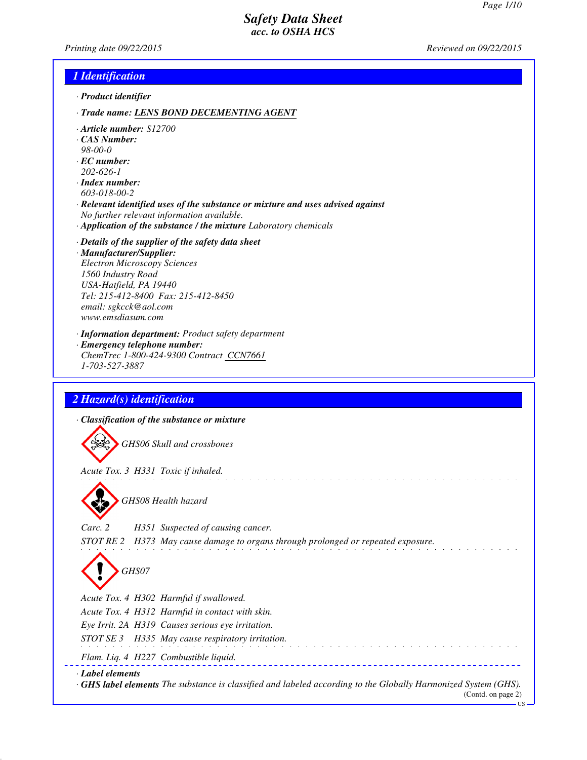*Printing date 09/22/2015 Reviewed on 09/22/2015*

### *1 Identification*

- *· Product identifier*
- *· Trade name: LENS BOND DECEMENTING AGENT*
- *· Article number: S12700*
- *· CAS Number:*
- *98-00-0*
- *· EC number: 202-626-1*
- *· Index number: 603-018-00-2*
- *· Relevant identified uses of the substance or mixture and uses advised against No further relevant information available.*
- *· Application of the substance / the mixture Laboratory chemicals*
- *· Details of the supplier of the safety data sheet · Manufacturer/Supplier: Electron Microscopy Sciences 1560 Industry Road USA-Hatfield, PA 19440 Tel: 215-412-8400 Fax: 215-412-8450 email: sgkcck@aol.com www.emsdiasum.com*
- *· Information department: Product safety department · Emergency telephone number:*
- *ChemTrec 1-800-424-9300 Contract CCN7661 1-703-527-3887*

# *2 Hazard(s) identification*

*· Classification of the substance or mixture*

*GHS06 Skull and crossbones*

*Acute Tox. 3 H331 Toxic if inhaled.*



*GHS08 Health hazard*

*Carc. 2 H351 Suspected of causing cancer.*

*STOT RE 2 H373 May cause damage to organs through prolonged or repeated exposure.*

a di serie della condita della condita della



*Acute Tox. 4 H302 Harmful if swallowed.*

*Acute Tox. 4 H312 Harmful in contact with skin.*

*Eye Irrit. 2A H319 Causes serious eye irritation.*

*STOT SE 3 H335 May cause respiratory irritation.*

*Flam. Liq. 4 H227 Combustible liquid.*

### *· Label elements*

*· GHS label elements The substance is classified and labeled according to the Globally Harmonized System (GHS).*

<u>. . . . . . . . . . .</u>

(Contd. on page 2) US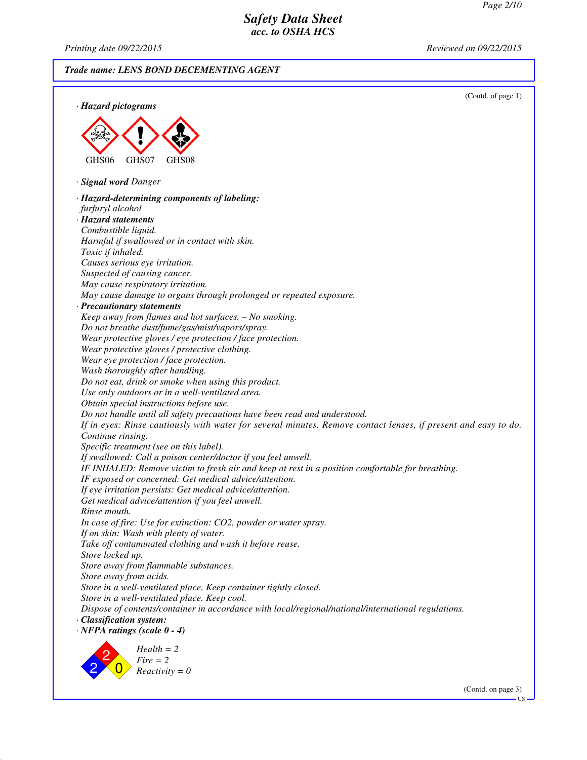*Printing date 09/22/2015 Reviewed on 09/22/2015*

*Trade name: LENS BOND DECEMENTING AGENT*



(Contd. on page 3)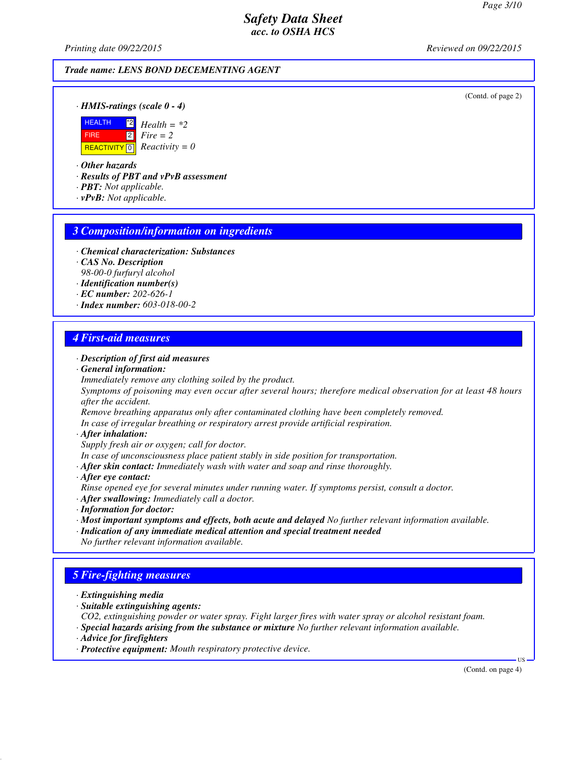*Printing date 09/22/2015 Reviewed on 09/22/2015*

### *Trade name: LENS BOND DECEMENTING AGENT*

(Contd. of page 2)

*· HMIS-ratings (scale 0 - 4)*



*· Other hazards*

*· Results of PBT and vPvB assessment*

*· PBT: Not applicable.*

*· vPvB: Not applicable.*

#### *3 Composition/information on ingredients*

- *· Chemical characterization: Substances*
- *· CAS No. Description*

*98-00-0 furfuryl alcohol*

- *· Identification number(s)*
- *· EC number: 202-626-1*
- *· Index number: 603-018-00-2*

### *4 First-aid measures*

#### *· Description of first aid measures*

*· General information:*

*Immediately remove any clothing soiled by the product.*

*Symptoms of poisoning may even occur after several hours; therefore medical observation for at least 48 hours after the accident.*

*Remove breathing apparatus only after contaminated clothing have been completely removed.*

*In case of irregular breathing or respiratory arrest provide artificial respiration.*

*· After inhalation:*

*Supply fresh air or oxygen; call for doctor.*

*In case of unconsciousness place patient stably in side position for transportation.*

- *· After skin contact: Immediately wash with water and soap and rinse thoroughly.*
- *· After eye contact:*
- *Rinse opened eye for several minutes under running water. If symptoms persist, consult a doctor.*
- *· After swallowing: Immediately call a doctor.*
- *· Information for doctor:*
- *· Most important symptoms and effects, both acute and delayed No further relevant information available.*
- *· Indication of any immediate medical attention and special treatment needed*
- *No further relevant information available.*

# *5 Fire-fighting measures*

- *· Extinguishing media*
- *· Suitable extinguishing agents:*
- *CO2, extinguishing powder or water spray. Fight larger fires with water spray or alcohol resistant foam. · Special hazards arising from the substance or mixture No further relevant information available.*
- *· Advice for firefighters*
- *· Protective equipment: Mouth respiratory protective device.*

(Contd. on page 4)

US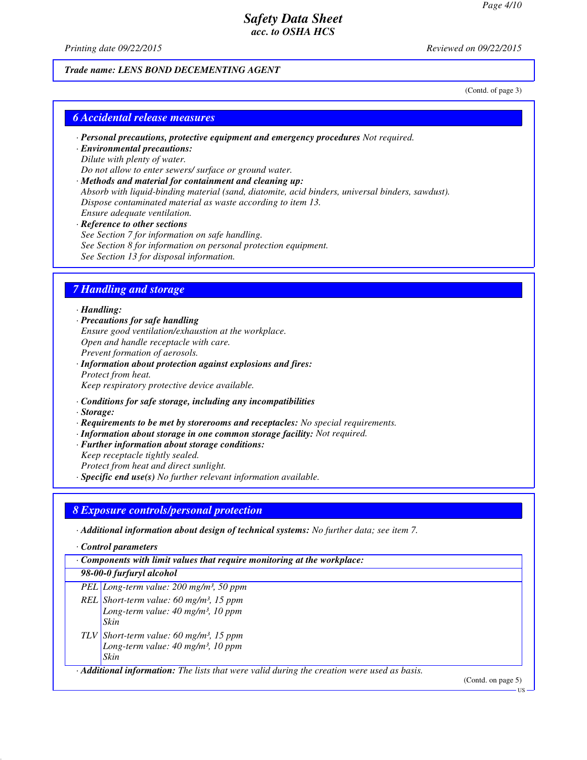*Printing date 09/22/2015 Reviewed on 09/22/2015*

#### *Trade name: LENS BOND DECEMENTING AGENT*

(Contd. of page 3)

# *6 Accidental release measures*

- *· Personal precautions, protective equipment and emergency procedures Not required.*
- *· Environmental precautions: Dilute with plenty of water. Do not allow to enter sewers/ surface or ground water.*
- *· Methods and material for containment and cleaning up: Absorb with liquid-binding material (sand, diatomite, acid binders, universal binders, sawdust). Dispose contaminated material as waste according to item 13. Ensure adequate ventilation.*
- *· Reference to other sections See Section 7 for information on safe handling. See Section 8 for information on personal protection equipment. See Section 13 for disposal information.*

## *7 Handling and storage*

#### *· Handling:*

*· Precautions for safe handling Ensure good ventilation/exhaustion at the workplace. Open and handle receptacle with care. Prevent formation of aerosols. · Information about protection against explosions and fires: Protect from heat.*

*Keep respiratory protective device available.*

- *· Conditions for safe storage, including any incompatibilities*
- *· Storage:*
- *· Requirements to be met by storerooms and receptacles: No special requirements.*
- *· Information about storage in one common storage facility: Not required.*
- *· Further information about storage conditions:*
- *Keep receptacle tightly sealed.*

*Protect from heat and direct sunlight.*

*· Specific end use(s) No further relevant information available.*

### *8 Exposure controls/personal protection*

*· Additional information about design of technical systems: No further data; see item 7.*

*· Control parameters*

*· Components with limit values that require monitoring at the workplace:*

#### *98-00-0 furfuryl alcohol*

- *PEL Long-term value: 200 mg/m³, 50 ppm*
- *REL Short-term value: 60 mg/m³, 15 ppm Long-term value: 40 mg/m³, 10 ppm Skin TLV Short-term value: 60 mg/m³, 15 ppm*
- *Long-term value: 40 mg/m³, 10 ppm Skin*

*· Additional information: The lists that were valid during the creation were used as basis.*

(Contd. on page 5)

US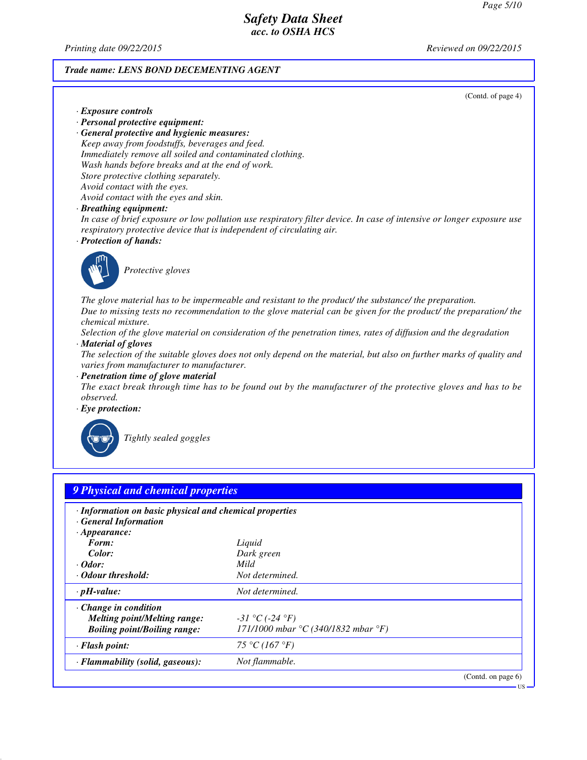*Printing date 09/22/2015 Reviewed on 09/22/2015*

#### *Trade name: LENS BOND DECEMENTING AGENT*

(Contd. of page 4)

US

- *· Exposure controls*
- *· Personal protective equipment:*

*· General protective and hygienic measures: Keep away from foodstuffs, beverages and feed. Immediately remove all soiled and contaminated clothing. Wash hands before breaks and at the end of work. Store protective clothing separately. Avoid contact with the eyes. Avoid contact with the eyes and skin.*

*· Breathing equipment:*

*In case of brief exposure or low pollution use respiratory filter device. In case of intensive or longer exposure use respiratory protective device that is independent of circulating air.*

*· Protection of hands:*



*Protective gloves*

*The glove material has to be impermeable and resistant to the product/ the substance/ the preparation. Due to missing tests no recommendation to the glove material can be given for the product/ the preparation/ the chemical mixture.*

*Selection of the glove material on consideration of the penetration times, rates of diffusion and the degradation · Material of gloves*

*The selection of the suitable gloves does not only depend on the material, but also on further marks of quality and varies from manufacturer to manufacturer.*

*· Penetration time of glove material*

*The exact break through time has to be found out by the manufacturer of the protective gloves and has to be observed.*

*· Eye protection:*



*Tightly sealed goggles*

| · Information on basic physical and chemical properties |                                                            |  |
|---------------------------------------------------------|------------------------------------------------------------|--|
| · General Information                                   |                                                            |  |
| $\cdot$ Appearance:                                     |                                                            |  |
| Form:                                                   | Liquid                                                     |  |
| Color:                                                  | Dark green                                                 |  |
| $\cdot$ Odor:                                           | Mild                                                       |  |
| · Odour threshold:                                      | Not determined.                                            |  |
| $\cdot$ pH-value:                                       | Not determined.                                            |  |
| $\cdot$ Change in condition                             |                                                            |  |
| <b>Melting point/Melting range:</b>                     | $-31 °C (-24 °F)$                                          |  |
| <b>Boiling point/Boiling range:</b>                     | 171/1000 mbar ${}^{\circ}C$ (340/1832 mbar ${}^{\circ}F$ ) |  |
| · Flash point:                                          | 75 °C (167 °F)                                             |  |
| · Flammability (solid, gaseous):                        | Not flammable.                                             |  |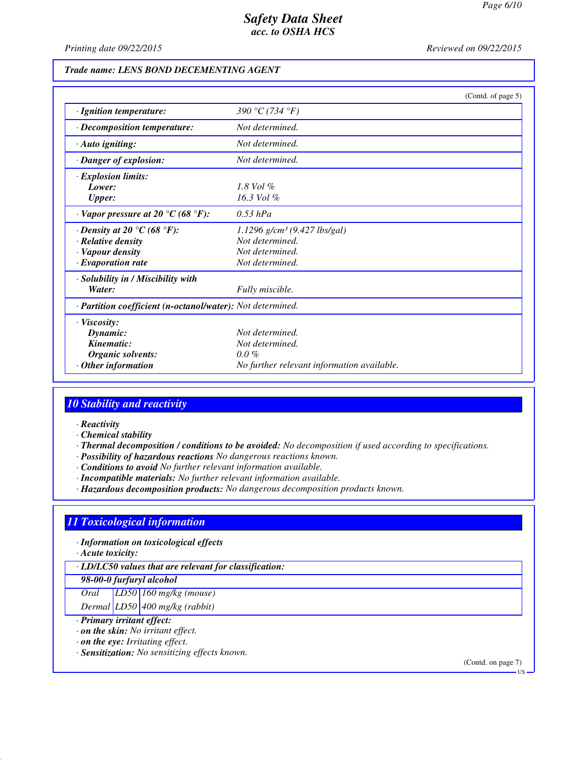*Printing date 09/22/2015 Reviewed on 09/22/2015*

### *Trade name: LENS BOND DECEMENTING AGENT*

|                                                                       |                                            | (Contd. of page 5) |
|-----------------------------------------------------------------------|--------------------------------------------|--------------------|
| · Ignition temperature:                                               | 390 °C (734 °F)                            |                    |
| · Decomposition temperature:                                          | Not determined.                            |                    |
| · Auto igniting:                                                      | Not determined.                            |                    |
| · Danger of explosion:                                                | Not determined.                            |                    |
| · Explosion limits:                                                   |                                            |                    |
| Lower:                                                                | $1.8$ Vol $\%$                             |                    |
| <b>Upper:</b>                                                         | $16.3$ Vol $%$                             |                    |
| $\cdot$ Vapor pressure at 20 $\rm{^{\circ}C}$ (68 $\rm{^{\circ}F}$ ): | $0.53$ hPa                                 |                    |
| $\cdot$ Density at 20 $\degree$ C (68 $\degree$ F):                   | $1.1296$ g/cm <sup>3</sup> (9.427 lbs/gal) |                    |
| $\cdot$ Relative density                                              | Not determined.                            |                    |
| · Vapour density                                                      | Not determined.                            |                    |
| · Evaporation rate                                                    | Not determined.                            |                    |
| · Solubility in / Miscibility with                                    |                                            |                    |
| Water:                                                                | Fully miscible.                            |                    |
| · Partition coefficient (n-octanol/water): Not determined.            |                                            |                    |
| $\cdot$ Viscosity:                                                    |                                            |                    |
| Dynamic:                                                              | Not determined.                            |                    |
| Kinematic:                                                            | Not determined.                            |                    |
| Organic solvents:                                                     | $0.0\%$                                    |                    |
| Other information                                                     | No further relevant information available. |                    |

# *10 Stability and reactivity*

- *· Reactivity*
- *· Chemical stability*
- *· Thermal decomposition / conditions to be avoided: No decomposition if used according to specifications.*
- *· Possibility of hazardous reactions No dangerous reactions known.*
- *· Conditions to avoid No further relevant information available.*
- *· Incompatible materials: No further relevant information available.*
- *· Hazardous decomposition products: No dangerous decomposition products known.*

# *11 Toxicological information*

*· Information on toxicological effects*

*· Acute toxicity:*

*· LD/LC50 values that are relevant for classification:*

#### *98-00-0 furfuryl alcohol*

*Oral LD50 160 mg/kg (mouse)*

*Dermal LD50 400 mg/kg (rabbit)*

- *· Primary irritant effect:*
- *· on the skin: No irritant effect.*
- *· on the eye: Irritating effect.*
- *· Sensitization: No sensitizing effects known.*

(Contd. on page 7)

US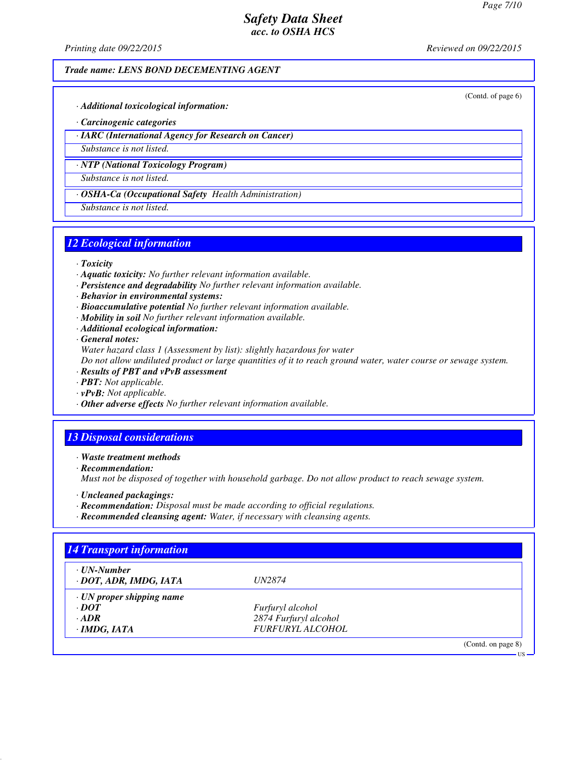*Printing date 09/22/2015 Reviewed on 09/22/2015*

### *Trade name: LENS BOND DECEMENTING AGENT*

(Contd. of page 6)

- *· Additional toxicological information:*
- *· Carcinogenic categories*
- *· IARC (International Agency for Research on Cancer)*

*Substance is not listed.*

*· NTP (National Toxicology Program)*

*Substance is not listed.*

*· OSHA-Ca (Occupational Safety Health Administration)*

*Substance is not listed.*

# *12 Ecological information*

- *· Toxicity*
- *· Aquatic toxicity: No further relevant information available.*
- *· Persistence and degradability No further relevant information available.*
- *· Behavior in environmental systems:*
- *· Bioaccumulative potential No further relevant information available.*
- *· Mobility in soil No further relevant information available.*
- *· Additional ecological information:*

*· General notes:*

*Water hazard class 1 (Assessment by list): slightly hazardous for water*

*Do not allow undiluted product or large quantities of it to reach ground water, water course or sewage system.*

- *· Results of PBT and vPvB assessment*
- *· PBT: Not applicable.*
- *· vPvB: Not applicable.*
- *· Other adverse effects No further relevant information available.*

# *13 Disposal considerations*

*· Waste treatment methods*

*· Recommendation:*

*Must not be disposed of together with household garbage. Do not allow product to reach sewage system.*

- *· Uncleaned packagings:*
- *· Recommendation: Disposal must be made according to official regulations.*
- *· Recommended cleansing agent: Water, if necessary with cleansing agents.*

| $\cdot$ UN-Number               |                         |  |
|---------------------------------|-------------------------|--|
| · DOT, ADR, IMDG, IATA          | <i>UN2874</i>           |  |
| $\cdot$ UN proper shipping name |                         |  |
| $\cdot$ <i>DOT</i>              | Furfuryl alcohol        |  |
| $-ADR$                          | 2874 Furfuryl alcohol   |  |
| $\cdot$ IMDG, IATA              | <b>FURFURYL ALCOHOL</b> |  |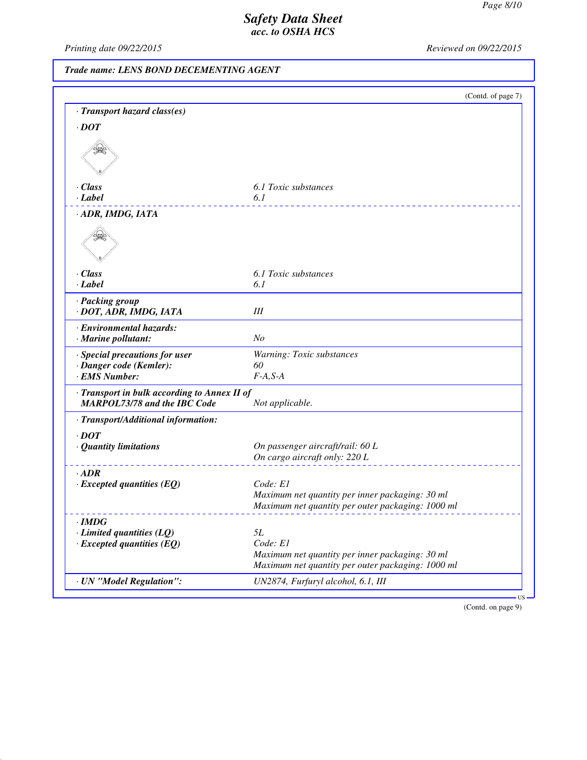*Printing date 09/22/2015 Reviewed on 09/22/2015*

# *Trade name: LENS BOND DECEMENTING AGENT*

|                                            | (Contd. of page 7)                                |
|--------------------------------------------|---------------------------------------------------|
| · Transport hazard class(es)               |                                                   |
| $\cdot$ DOT                                |                                                   |
|                                            |                                                   |
|                                            |                                                   |
|                                            |                                                   |
|                                            |                                                   |
| $\cdot$ Class                              | 6.1 Toxic substances                              |
| $\cdot$ Label                              | 6.1                                               |
| · ADR, IMDG, IATA                          |                                                   |
|                                            |                                                   |
|                                            |                                                   |
| · Class                                    | 6.1 Toxic substances                              |
| · Label                                    | 6.1                                               |
| · Packing group                            |                                                   |
| · DOT, ADR, IMDG, IATA                     | III                                               |
| · Environmental hazards:                   |                                                   |
| · Marine pollutant:                        | N <sub>O</sub>                                    |
| · Special precautions for user             | Warning: Toxic substances                         |
| · Danger code (Kemler):                    | 60                                                |
| · EMS Number:                              | $F-A, S-A$                                        |
| Transport in bulk according to Annex II of |                                                   |
| <b>MARPOL73/78 and the IBC Code</b>        | Not applicable.                                   |
| · Transport/Additional information:        |                                                   |
| $\cdot$ DOT                                |                                                   |
| · Quantity limitations                     | On passenger aircraft/rail: 60 L                  |
|                                            | On cargo aircraft only: 220 L                     |
| $-ADR$                                     |                                                   |
| $\cdot$ Excepted quantities (EQ)           | Code: E1                                          |
|                                            | Maximum net quantity per inner packaging: 30 ml   |
|                                            | Maximum net quantity per outer packaging: 1000 ml |
| ∙IMDG                                      |                                                   |
| $\cdot$ Limited quantities (LQ)            | 5L                                                |
| $\cdot$ Excepted quantities (EQ)           | Code: E1                                          |
|                                            | Maximum net quantity per inner packaging: 30 ml   |
|                                            | Maximum net quantity per outer packaging: 1000 ml |
| · UN "Model Regulation":                   | UN2874, Furfuryl alcohol, 6.1, III                |

(Contd. on page 9)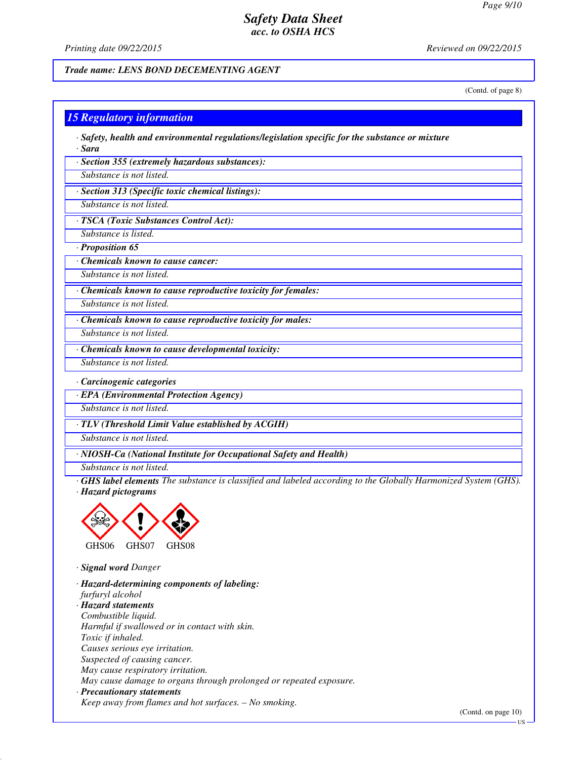*Printing date 09/22/2015 Reviewed on 09/22/2015*

#### *Trade name: LENS BOND DECEMENTING AGENT*

(Contd. of page 8)

### *15 Regulatory information*

*· Safety, health and environmental regulations/legislation specific for the substance or mixture · Sara*

*· Section 355 (extremely hazardous substances):*

*Substance is not listed.*

*· Section 313 (Specific toxic chemical listings):*

*Substance is not listed.*

*· TSCA (Toxic Substances Control Act):*

*Substance is listed. · Proposition 65*

*· Chemicals known to cause cancer:*

*Substance is not listed.*

*· Chemicals known to cause reproductive toxicity for females:*

*Substance is not listed.*

*· Chemicals known to cause reproductive toxicity for males:*

*Substance is not listed.*

*· Chemicals known to cause developmental toxicity:*

*Substance is not listed.*

*· Carcinogenic categories*

*· EPA (Environmental Protection Agency)*

*Substance is not listed.*

*· TLV (Threshold Limit Value established by ACGIH)*

*Substance is not listed.*

*· NIOSH-Ca (National Institute for Occupational Safety and Health)*

*Substance is not listed.*

*· GHS label elements The substance is classified and labeled according to the Globally Harmonized System (GHS). · Hazard pictograms*



*· Signal word Danger*

*· Hazard-determining components of labeling: furfuryl alcohol · Hazard statements Combustible liquid. Harmful if swallowed or in contact with skin. Toxic if inhaled. Causes serious eye irritation. Suspected of causing cancer. May cause respiratory irritation. May cause damage to organs through prolonged or repeated exposure. · Precautionary statements Keep away from flames and hot surfaces. – No smoking.*

(Contd. on page 10)

US